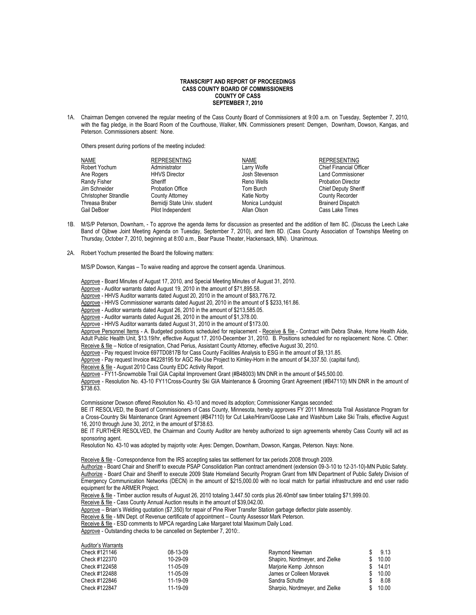## **TRANSCRIPT AND REPORT OF PROCEEDINGS CASS COUNTY BOARD OF COMMISSIONERS COUNTY OF CASS SEPTEMBER 7, 2010**

1A. Chairman Demgen convened the regular meeting of the Cass County Board of Commissioners at 9:00 a.m. on Tuesday, September 7, 2010, with the flag pledge, in the Board Room of the Courthouse, Walker, MN. Commissioners present: Demgen, Downham, Dowson, Kangas, and Peterson. Commissioners absent: None.

Others present during portions of the meeting included:

| NAME                         | <b>REPRESENTING</b>         | NAME             | <b>REPRESENTING</b>            |
|------------------------------|-----------------------------|------------------|--------------------------------|
| Robert Yochum                | Administrator               | Larry Wolfe      | <b>Chief Financial Officer</b> |
| Ane Rogers                   | <b>HHVS Director</b>        | Josh Stevenson   | <b>Land Commissioner</b>       |
| Randy Fisher                 | Sheriff                     | Reno Wells       | <b>Probation Director</b>      |
| Jim Schneider                | <b>Probation Office</b>     | Tom Burch        | <b>Chief Deputy Sheriff</b>    |
| <b>Christopher Strandlie</b> | County Attorney             | Katie Norby      | <b>County Recorder</b>         |
| Threasa Braber               | Bemidji State Univ. student | Monica Lundquist | <b>Brainerd Dispatch</b>       |
| Gail DeBoer                  | Pilot Independent           | Allan Olson      | Cass Lake Times                |

- 1B. M/S/P Peterson, Downham, To approve the agenda items for discussion as presented and the addition of Item 8C. (Discuss the Leech Lake Band of Ojibwe Joint Meeting Agenda on Tuesday, September 7, 2010), and Item 8D. (Cass County Association of Townships Meeting on Thursday, October 7, 2010, beginning at 8:00 a.m., Bear Pause Theater, Hackensack, MN). Unanimous.
- 2A. Robert Yochum presented the Board the following matters:

M/S/P Dowson, Kangas – To waive reading and approve the consent agenda. Unanimous.

Approve - Board Minutes of August 17, 2010, and Special Meeting Minutes of August 31, 2010.

Approve - Auditor warrants dated August 19, 2010 in the amount of \$71,895.58.

Approve - HHVS Auditor warrants dated August 20, 2010 in the amount of \$83,776.72.

Approve - HHVS Commissioner warrants dated August 20, 2010 in the amount of \$\$233,161.86.

Approve - Auditor warrants dated August 26, 2010 in the amount of \$213,585.05.

Approve - Auditor warrants dated August 26, 2010 in the amount of \$1,378.00.

Approve - HHVS Auditor warrants dated August 31, 2010 in the amount of \$173.00.

Approve Personnel Items - A. Budgeted positions scheduled for replacement - Receive & file - Contract with Debra Shake, Home Health Aide, Adult Public Health Unit, \$13.19/hr, effective August 17, 2010-December 31, 2010. B. Positions scheduled for no replacement: None. C. Other: Receive & file - Notice of resignation, Chad Perius, Assistant County Attorney, effective August 30, 2010.

Approve - Pay request Invoice 697TD0817B for Cass County Facilities Analysis to ESG in the amount of \$9,131.85.

Approve - Pay request Invoice #4228195 for AGC Re-Use Project to Kimley-Horn in the amount of \$4,337.50. (capital fund).

Receive & file - August 2010 Cass County EDC Activity Report.

Approve - FY11-Snowmobile Trail GIA Capital Improvement Grant (#B48003) MN DNR in the amount of \$45,500.00.

Approve - Resolution No. 43-10 FY11Cross-Country Ski GIA Maintenance & Grooming Grant Agreement (#B47110) MN DNR in the amount of \$738.63.

Commissioner Dowson offered Resolution No. 43-10 and moved its adoption; Commissioner Kangas seconded:

BE IT RESOLVED, the Board of Commissioners of Cass County, Minnesota, hereby approves FY 2011 Minnesota Trail Assistance Program for a Cross-Country Ski Maintenance Grant Agreement (#B47110) for Cut Lake/Hiram/Goose Lake and Washburn Lake Ski Trails, effective August 16, 2010 through June 30, 2012, in the amount of \$738.63.

BE IT FURTHER RESOLVED, the Chairman and County Auditor are hereby authorized to sign agreements whereby Cass County will act as sponsoring agent.

Resolution No. 43-10 was adopted by majority vote: Ayes: Demgen, Downham, Dowson, Kangas, Peterson. Nays: None.

Receive & file - Correspondence from the IRS accepting sales tax settlement for tax periods 2008 through 2009.

Authorize - Board Chair and Sheriff to execute PSAP Consolidation Plan contract amendment (extension 09-3-10 to 12-31-10)-MN Public Safety. Authorize - Board Chair and Sheriff to execute 2009 State Homeland Security Program Grant from MN Department of Public Safety Division of Emergency Communication Networks (DECN) in the amount of \$215,000.00 with no local match for partial infrastructure and end user radio equipment for the ARMER Project.

Receive & file - Timber auction results of August 26, 2010 totaling 3,447.50 cords plus 26.40mbf saw timber totaling \$71,999.00.

Receive & file - Cass County Annual Auction results in the amount of \$39,042.00.

Approve – Brian's Welding quotation (\$7,350) for repair of Pine River Transfer Station garbage deflector plate assembly.

Receive & file - MN Dept. of Revenue certificate of appointment – County Assessor Mark Peterson.

Receive & file - ESD comments to MPCA regarding Lake Margaret total Maximum Daily Load.

Approve - Outstanding checks to be cancelled on September 7, 2010:.

| Auditor's Warrants |          |                                |     |       |
|--------------------|----------|--------------------------------|-----|-------|
| Check #121146      | 08-13-09 | Raymond Newman                 |     | 9.13  |
| Check #122370      | 10-29-09 | Shapiro, Nordmeyer, and Zielke | \$. | 10.00 |
| Check #122458      | 11-05-09 | Marjorie Kemp Johnson          |     | 14.01 |
| Check #122488      | 11-05-09 | James or Colleen Moravek       |     | 10.00 |
| Check #122846      | 11-19-09 | Sandra Schutte                 |     | 8.08  |
| Check #122847      | 11-19-09 | Sharpio, Nordmeyer, and Zielke |     | 10.00 |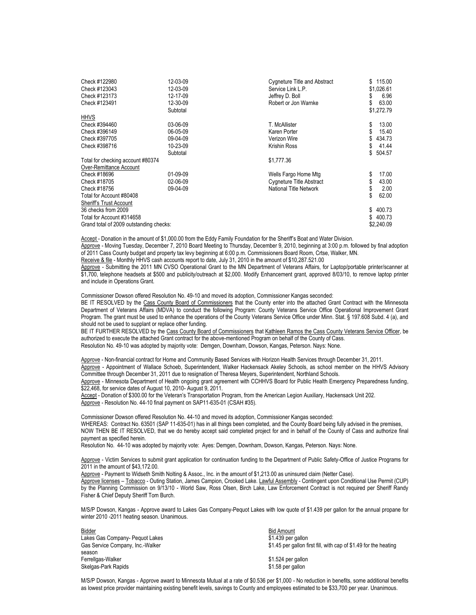| Check #122980<br>Check #123043<br>Check #123173<br>Check #123491<br><b>HHVS</b>                     | 12-03-09<br>12-03-09<br>12-17-09<br>12-30-09<br>Subtotal | <b>Cygneture Title and Abstract</b><br>Service Link L.P.<br>Jeffrey D. Boll<br>Robert or Jon Warnke | \$<br>S<br>\$  | 115.00<br>\$1.026.61<br>6.96<br>63.00<br>\$1,272.79 |
|-----------------------------------------------------------------------------------------------------|----------------------------------------------------------|-----------------------------------------------------------------------------------------------------|----------------|-----------------------------------------------------|
| Check #394460<br>Check #396149<br>Check #397705                                                     | 03-06-09<br>06-05-09<br>09-04-09                         | T. McAllister<br>Karen Porter<br>Verizon Wire                                                       | \$<br>\$<br>\$ | 13.00<br>15.40<br>434.73                            |
| Check #398716                                                                                       | 10-23-09<br>Subtotal                                     | Krishin Ross                                                                                        | \$<br>\$       | 41.44<br>504.57                                     |
| Total for checking account #80374<br>Over-Remittance Account                                        |                                                          | \$1,777.36                                                                                          |                |                                                     |
| Check #18696<br>Check #18705<br>Check #18756<br>Total for Account #80408<br>Sheriff's Trust Account | 01-09-09<br>02-06-09<br>09-04-09                         | Wells Fargo Home Mtg<br><b>Cygneture Title Abstract</b><br>National Title Network                   | \$<br>\$       | 17.00<br>43.00<br>2.00<br>62.00                     |
| 36 checks from 2009<br>Total for Account #314658<br>Grand total of 2009 outstanding checks:         |                                                          |                                                                                                     | \$<br>\$       | 400.73<br>400.73<br>\$2,240.09                      |

Accept - Donation in the amount of \$1,000.00 from the Eddy Family Foundation for the Sheriff's Boat and Water Division.

Approve - Moving Tuesday, December 7, 2010 Board Meeting to Thursday, December 9, 2010, beginning at 3:00 p.m. followed by final adoption of 2011 Cass County budget and property tax levy beginning at 6:00 p.m. Commissioners Board Room, Crtse, Walker, MN.

Receive & file - Monthly HHVS cash accounts report to date, July 31, 2010 in the amount of \$10,287.521.00

Approve - Submitting the 2011 MN CVSO Operational Grant to the MN Department of Veterans Affairs, for Laptop/portable printer/scanner at \$1,700, telephone headsets at \$500 and publicity/outreach at \$2,000. Modify Enhancement grant, approved 8/03/10, to remove laptop printer and include in Operations Grant.

Commissioner Dowson offered Resolution No. 49-10 and moved its adoption, Commissioner Kangas seconded:

BE IT RESOLVED by the Cass County Board of Commissioners that the County enter into the attached Grant Contract with the Minnesota Department of Veterans Affairs (MDVA) to conduct the following Program: County Veterans Service Office Operational Improvement Grant Program. The grant must be used to enhance the operations of the County Veterans Service Office under Minn. Stat. § 197.608 Subd. 4 (a), and should not be used to supplant or replace other funding.

BE IT FURTHER RESOLVED by the Cass County Board of Commissioners that Kathleen Ramos the Cass County Veterans Service Officer, be authorized to execute the attached Grant contract for the above-mentioned Program on behalf of the County of Cass. Resolution No. 49-10 was adopted by majority vote: Demgen, Downham, Dowson, Kangas, Peterson. Nays: None.

Approve - Non-financial contract for Home and Community Based Services with Horizon Health Services through December 31, 2011. Approve - Appointment of Wallace Schoeb, Superintendent, Walker Hackensack Akeley Schools, as school member on the HHVS Advisory Committee through December 31, 2011 due to resignation of Theresa Meyers, Superintendent, Northland Schools.

Approve - Minnesota Department of Health ongoing grant agreement with CCHHVS Board for Public Health Emergency Preparedness funding, \$22,468, for service dates of August 10, 2010- August 9, 2011.

Accept - Donation of \$300.00 for the Veteran's Transportation Program, from the American Legion Auxiliary, Hackensack Unit 202. Approve - Resolution No. 44-10 final payment on SAP11-635-01 (CSAH #35).

Commissioner Dowson offered Resolution No. 44-10 and moved its adoption, Commissioner Kangas seconded: WHEREAS: Contract No. 63501 (SAP 11-635-01) has in all things been completed, and the County Board being fully advised in the premises, NOW THEN BE IT RESOLVED, that we do hereby accept said completed project for and in behalf of the County of Cass and authorize final payment as specified herein.

Resolution No. 44-10 was adopted by majority vote: Ayes: Demgen, Downham, Dowson, Kangas, Peterson. Nays: None.

Approve - Victim Services to submit grant application for continuation funding to the Department of Public Safety-Office of Justice Programs for 2011 in the amount of \$43,172.00.

Approve - Payment to Widseth Smith Nolting & Assoc., Inc. in the amount of \$1,213.00 as uninsured claim (Netter Case). Approve licenses - Tobacco - Outing Station, James Campion, Crooked Lake. Lawful Assembly - Contingent upon Conditional Use Permit (CUP) by the Planning Commission on 9/13/10 - World Saw, Ross Olsen, Birch Lake, Law Enforcement Contract is not required per Sheriff Randy Fisher & Chief Deputy Sheriff Tom Burch.

M/S/P Dowson, Kangas - Approve award to Lakes Gas Company-Pequot Lakes with low quote of \$1.439 per gallon for the annual propane for winter 2010 -2011 heating season. Unanimous.

| <b>Bidder</b>                    | <b>Bid Amount</b>                                                |
|----------------------------------|------------------------------------------------------------------|
| Lakes Gas Company- Pequot Lakes  | \$1.439 per gallon                                               |
| Gas Service Company, Inc.-Walker | \$1.45 per gallon first fill, with cap of \$1.49 for the heating |
| season                           |                                                                  |
| Ferrellgas-Walker                | \$1.524 per gallon                                               |
| Skelgas-Park Rapids              | \$1.58 per gallon                                                |

M/S/P Dowson, Kangas - Approve award to Minnesota Mutual at a rate of \$0.536 per \$1,000 - No reduction in benefits, some additional benefits as lowest price provider maintaining existing benefit levels, savings to County and employees estimated to be \$33,700 per year. Unanimous.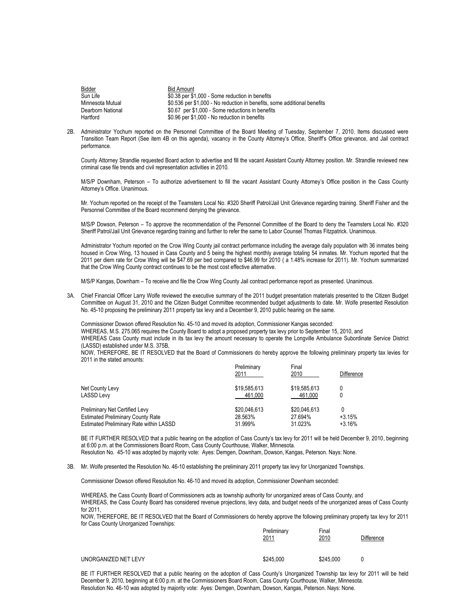| <b>Bidder</b>     | Bid Amount                                                               |
|-------------------|--------------------------------------------------------------------------|
| Sun Life          | \$0.38 per \$1,000 - Some reduction in benefits                          |
| Minnesota Mutual  | \$0.536 per \$1,000 - No reduction in benefits, some additional benefits |
| Dearborn National | \$0.67 per \$1,000 - Some reductions in benefits                         |
| Hartford          | \$0.96 per \$1,000 - No reduction in benefits                            |

2B. Administrator Yochum reported on the Personnel Committee of the Board Meeting of Tuesday, September 7, 2010. Items discussed were Transition Team Report (See item 4B on this agenda), vacancy in the County Attorney's Office, Sheriff's Office grievance, and Jail contract performance.

County Attorney Strandlie requested Board action to advertise and fill the vacant Assistant County Attorney position. Mr. Strandlie reviewed new criminal case file trends and civil representation activities in 2010.

M/S/P Downham, Peterson – To authorize advertisement to fill the vacant Assistant County Attorney's Office position in the Cass County Attorney's Office. Unanimous.

Mr. Yochum reported on the receipt of the Teamsters Local No. #320 Sheriff Patrol/Jail Unit Grievance regarding training. Sheriff Fisher and the Personnel Committee of the Board recommend denying the grievance.

M/S/P Dowson, Peterson – To approve the recommendation of the Personnel Committee of the Board to deny the Teamsters Local No. #320 Sheriff Patrol/Jail Unit Grievance regarding training and further to refer the same to Labor Counsel Thomas Fitzpatrick. Unanimous.

Administrator Yochum reported on the Crow Wing County jail contract performance including the average daily population with 36 inmates being housed in Crow Wing, 13 housed in Cass County and 5 being the highest monthly average totaling 54 inmates. Mr. Yochum reported that the 2011 per diem rate for Crow Wing will be \$47.69 per bed compared to \$46.99 for 2010 ( a 1.48% increase for 2011). Mr. Yochum summarized that the Crow Wing County contract continues to be the most cost effective alternative.

M/S/P Kangas, Downham – To receive and file the Crow Wing County Jail contract performance report as presented. Unanimous.

3A. Chief Financial Officer Larry Wolfe reviewed the executive summary of the 2011 budget presentation materials presented to the Citizen Budget Committee on August 31, 2010 and the Citizen Budget Committee recommended budget adjustments to date. Mr. Wolfe presented Resolution No. 45-10 proposing the preliminary 2011 property tax levy and a December 9, 2010 public hearing on the same.

Commissioner Dowson offered Resolution No. 45-10 and moved its adoption, Commissioner Kangas seconded: WHEREAS, M.S. 275.065 requires the County Board to adopt a proposed property tax levy prior to September 15, 2010, and WHEREAS Cass County must include in its tax levy the amount necessary to operate the Longville Ambulance Subordinate Service District (LASSD) established under M.S. 375B,

NOW, THEREFORE, BE IT RESOLVED that the Board of Commissioners do hereby approve the following preliminary property tax levies for 2011 in the stated amounts:

|                                                                                                                       | Preliminary<br>2011                | Final<br>2010                      | <b>Difference</b>    |
|-----------------------------------------------------------------------------------------------------------------------|------------------------------------|------------------------------------|----------------------|
| Net County Levy<br><b>LASSD Levy</b>                                                                                  | \$19,585,613<br>461.000            | \$19,585,613<br>461.000            | 0<br>0               |
| Preliminary Net Certified Levy<br><b>Estimated Preliminary County Rate</b><br>Estimated Preliminary Rate within LASSD | \$20,046,613<br>28.563%<br>31.999% | \$20,046,613<br>27.694%<br>31.023% | $+3.15%$<br>$+3.16%$ |

BE IT FURTHER RESOLVED that a public hearing on the adoption of Cass County's tax levy for 2011 will be held December 9, 2010, beginning at 6:00 p.m. at the Commissioners Board Room, Cass County Courthouse, Walker, Minnesota. Resolution No. 45-10 was adopted by majority vote: Ayes: Demgen, Downham, Dowson, Kangas, Peterson. Nays: None.

3B. Mr. Wolfe presented the Resolution No. 46-10 establishing the preliminary 2011 property tax levy for Unorganized Townships.

Commissioner Dowson offered Resolution No. 46-10 and moved its adoption, Commissioner Downham seconded:

WHEREAS, the Cass County Board of Commissioners acts as township authority for unorganized areas of Cass County, and WHEREAS, the Cass County Board has considered revenue projections, levy data, and budget needs of the unorganized areas of Cass County for 2011,

NOW, THEREFORE, BE IT RESOLVED that the Board of Commissioners do hereby approve the following preliminary property tax levy for 2011 for Cass County Unorganized Townships: Preliminary Final

|                      | Preliminary<br>2011 | Finai<br><u>2010</u> | Difference |
|----------------------|---------------------|----------------------|------------|
| UNORGANIZED NET LEVY | \$245,000           | \$245.000            | 0          |

BE IT FURTHER RESOLVED that a public hearing on the adoption of Cass County's Unorganized Township tax levy for 2011 will be held December 9, 2010, beginning at 6:00 p.m. at the Commissioners Board Room, Cass County Courthouse, Walker, Minnesota. Resolution No. 46-10 was adopted by majority vote: Ayes: Demgen, Downham, Dowson, Kangas, Peterson. Nays: None.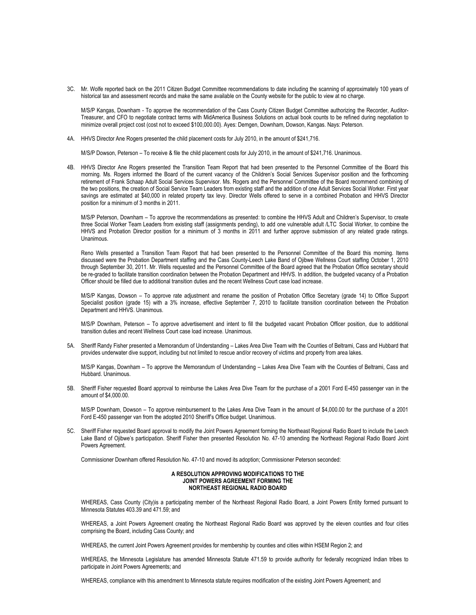3C. Mr. Wolfe reported back on the 2011 Citizen Budget Committee recommendations to date including the scanning of approximately 100 years of historical tax and assessment records and make the same available on the County website for the public to view at no charge.

M/S/P Kangas, Downham - To approve the recommendation of the Cass County Citizen Budget Committee authorizing the Recorder, Auditor-Treasurer, and CFO to negotiate contract terms with MidAmerica Business Solutions on actual book counts to be refined during negotiation to minimize overall project cost (cost not to exceed \$100,000.00). Ayes: Demgen, Downham, Dowson, Kangas. Nays: Peterson.

4A. HHVS Director Ane Rogers presented the child placement costs for July 2010, in the amount of \$241,716.

M/S/P Dowson, Peterson – To receive & file the child placement costs for July 2010, in the amount of \$241,716. Unanimous.

4B. HHVS Director Ane Rogers presented the Transition Team Report that had been presented to the Personnel Committee of the Board this morning. Ms. Rogers informed the Board of the current vacancy of the Children's Social Services Supervisor position and the forthcoming retirement of Frank Schaap Adult Social Services Supervisor. Ms. Rogers and the Personnel Committee of the Board recommend combining of the two positions, the creation of Social Service Team Leaders from existing staff and the addition of one Adult Services Social Worker. First year savings are estimated at \$40,000 in related property tax levy. Director Wells offered to serve in a combined Probation and HHVS Director position for a minimum of 3 months in 2011.

M/S/P Peterson, Downham – To approve the recommendations as presented: to combine the HHVS Adult and Children's Supervisor, to create three Social Worker Team Leaders from existing staff (assignments pending), to add one vulnerable adult /LTC Social Worker, to combine the HHVS and Probation Director position for a minimum of 3 months in 2011 and further approve submission of any related grade ratings. Unanimous.

Reno Wells presented a Transition Team Report that had been presented to the Personnel Committee of the Board this morning. Items discussed were the Probation Department staffing and the Cass County-Leech Lake Band of Ojibwe Wellness Court staffing October 1, 2010 through September 30, 2011. Mr. Wells requested and the Personnel Committee of the Board agreed that the Probation Office secretary should be re-graded to facilitate transition coordination between the Probation Department and HHVS. In addition, the budgeted vacancy of a Probation Officer should be filled due to additional transition duties and the recent Wellness Court case load increase.

M/S/P Kangas, Dowson – To approve rate adjustment and rename the position of Probation Office Secretary (grade 14) to Office Support Specialist position (grade 15) with a 3% increase, effective September 7, 2010 to facilitate transition coordination between the Probation Department and HHVS. Unanimous.

M/S/P Downham, Peterson – To approve advertisement and intent to fill the budgeted vacant Probation Officer position, due to additional transition duties and recent Wellness Court case load increase. Unanimous.

5A. Sheriff Randy Fisher presented a Memorandum of Understanding – Lakes Area Dive Team with the Counties of Beltrami, Cass and Hubbard that provides underwater dive support, including but not limited to rescue and/or recovery of victims and property from area lakes.

M/S/P Kangas, Downham – To approve the Memorandum of Understanding – Lakes Area Dive Team with the Counties of Beltrami, Cass and Hubbard. Unanimous.

5B. Sheriff Fisher requested Board approval to reimburse the Lakes Area Dive Team for the purchase of a 2001 Ford E-450 passenger van in the amount of \$4,000.00.

M/S/P Downham, Dowson – To approve reimbursement to the Lakes Area Dive Team in the amount of \$4,000.00 for the purchase of a 2001 Ford E-450 passenger van from the adopted 2010 Sheriff's Office budget. Unanimous.

5C. Sheriff Fisher requested Board approval to modify the Joint Powers Agreement forming the Northeast Regional Radio Board to include the Leech Lake Band of Ojibwe's participation. Sheriff Fisher then presented Resolution No. 47-10 amending the Northeast Regional Radio Board Joint Powers Agreement.

Commissioner Downham offered Resolution No. 47-10 and moved its adoption; Commissioner Peterson seconded:

## **A RESOLUTION APPROVING MODIFICATIONS TO THE JOINT POWERS AGREEMENT FORMING THE NORTHEAST REGIONAL RADIO BOARD**

WHEREAS, Cass County (City)is a participating member of the Northeast Regional Radio Board, a Joint Powers Entity formed pursuant to Minnesota Statutes 403.39 and 471.59; and

WHEREAS, a Joint Powers Agreement creating the Northeast Regional Radio Board was approved by the eleven counties and four cities comprising the Board, including Cass County; and

WHEREAS, the current Joint Powers Agreement provides for membership by counties and cities within HSEM Region 2; and

WHEREAS, the Minnesota Legislature has amended Minnesota Statute 471.59 to provide authority for federally recognized Indian tribes to participate in Joint Powers Agreements; and

WHEREAS, compliance with this amendment to Minnesota statute requires modification of the existing Joint Powers Agreement; and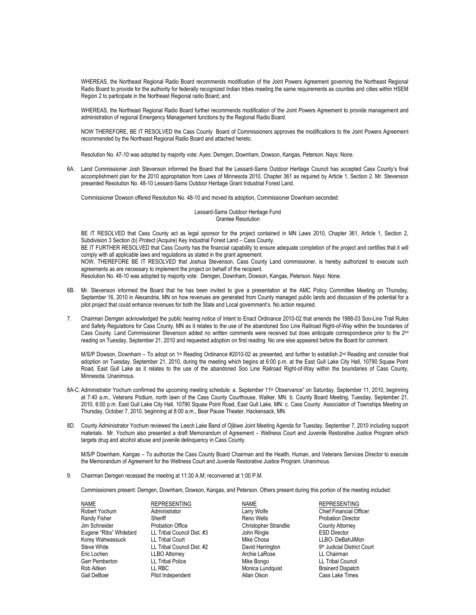WHEREAS, the Northeast Regional Radio Board recommends modification of the Joint Powers Agreement governing the Northeast Regional Radio Board to provide for the authority for federally recognized Indian tribes meeting the same requirements as counties and cities within HSEM Region 2 to participate in the Northeast Regional radio Board; and

WHEREAS, the Northeast Regional Radio Board further recommends modification of the Joint Powers Agreement to provide management and administration of regional Emergency Management functions by the Regional Radio Board.

NOW THEREFORE, BE IT RESOLVED the Cass County Board of Commissioners approves the modifications to the Joint Powers Agreement recommended by the Northeast Regional Radio Board and attached hereto.

Resolution No. 47-10 was adopted by majority vote: Ayes: Demgen, Downham, Dowson, Kangas, Peterson. Nays: None.

6A. Land Commissioner Josh Stevenson informed the Board that the Lessard-Sams Outdoor Heritage Council has accepted Cass County's final accomplishment plan for the 2010 appropriation from Laws of Minnesota 2010, Chapter 361 as required by Article 1, Section 2. Mr. Stevenson presented Resolution No. 48-10 Lessard-Sams Outdoor Heritage Grant Industrial Forest Land.

Commissioner Dowson offered Resolution No. 48-10 and moved its adoption, Commissioner Downham seconded:

Lessard-Sams Outdoor Heritage Fund Grantee Resolution

BE IT RESOLVED that Cass County act as legal sponsor for the project contained in MN Laws 2010, Chapter 361, Article 1, Section 2, Subdivision 3 Section (b) *Protect* (Acquire) Key Industrial Forest Land – Cass County. BE IT FURTHER RESOLVED that Cass County has the financial capability to ensure adequate completion of the project and certifies that it will comply with all applicable laws and regulations as stated in the grant agreement. NOW, THEREFORE BE IT RESOLVED that Joshua Stevenson, Cass County Land commissioner, is hereby authorized to execute such agreements as are necessary to implement the project on behalf of the recipient. Resolution No. 48-10 was adopted by majority vote: Demgen, Downham, Dowson, Kangas, Peterson. Nays: None.

- 6B. Mr. Stevenson informed the Board that he has been invited to give a presentation at the AMC Policy Committee Meeting on Thursday, September 16, 2010 in Alexandria, MN on how revenues are generated from County managed public lands and discussion of the potential for a pilot project that could enhance revenues for both the State and Local government's. No action required.
- 7. Chairman Demgen acknowledged the public hearing notice of Intent to Enact Ordinance 2010-02 that amends the 1988-03 Soo-Line Trail Rules and Safety Regulations for Cass County, MN as it relates to the use of the abandoned Soo Line Railroad Right-of-Way within the boundaries of Cass County. Land Commissioner Stevenson added no written comments were received but does anticipate correspondence prior to the 2<sup>nd</sup> reading on Tuesday, September 21, 2010 and requested adoption on first reading. No one else appeared before the Board for comment.

M/S/P Dowson, Downham – To adopt on 1st Reading Ordinance #2010-02 as presented, and further to establish 2<sup>nd</sup> Reading and consider final adoption on Tuesday, September 21, 2010, during the meeting which begins at 6:00 p.m. at the East Gull Lake City Hall, 10790 Squaw Point Road, East Gull Lake as it relates to the use of the abandoned Soo Line Railroad Right-of-Way within the boundaries of Cass County, Minnesota. Unanimous.

- 8A-C. Administrator Yochum confirmed the upcoming meeting schedule: a. September 11<sup>th</sup> Observance" on Saturday, September 11, 2010, beginning at 7:40 a.m., Veterans Podium, north lawn of the Cass County Courthouse, Walker, MN. b. County Board Meeting, Tuesday, September 21, 2010, 6:00 p.m. East Gull Lake City Hall, 10790 Squaw Point Road, East Gull Lake, MN. c. Cass County Association of Townships Meeting on Thursday, October 7, 2010, beginning at 8:00 a.m., Bear Pause Theater, Hackensack, MN.
- 8D. County Administrator Yochum reviewed the Leech Lake Band of Ojibwe Joint Meeting Agenda for Tuesday, September 7, 2010 including support materials. Mr. Yochum also presented a draft Memorandum of Agreement – Wellness Court and Juvenile Restorative Justice Program which targets drug and alcohol abuse and juvenile delinquency in Cass County.

M/S/P Downham, Kangas – To authorize the Cass County Board Chairman and the Health, Human, and Veterans Services Director to execute the Memorandum of Agreement for the Wellness Court and Juvenile Restorative Justice Program. Unanimous.

9. Chairman Demgen recessed the meeting at 11:30 A.M; reconvened at 1:00 P.M.

Commissioners present: Demgen, Downham, Dowson, Kangas, and Peterson. Others present during this portion of the meeting included:

MAME REPRESENTING NAME REPRESENTING<br>
Robert Yochum Administrator Chief Financial Of Randy Fisher **Sheriff Sheriff Sheriff Sheriff Sheriff Sheriff Reno Wells** Probation Director County Attorney<br>
Sheriff Probation Office Sheriff Christopher Strandlie County Attorney Eugene "Ribs" Whitebird LL Tribal Council Dist. #3 John Ringle Council Director Council Dist. At a LL Tribal Council Dist. #3 John Ringle Council Director Council Dist. At a LL Tribal Council Dist. #3 Mike Chosa LL Tribal Korey Wahwassuck LL Tribal Court Court Mike Chosa<br>
Chosa Chosa LL Tribal Council Dist. #2 David Harrington Eric Lochen LLBO Attorney Archie LaRose LL Chairman Garr Pemberton LL Tribal Police Mike Bongo LL Tribal Council

Probation Office **Christopher Strandlie** County Attorney County Attorney County Attorney County Attorney County Attorney County Attorney County Attorney County Attorney County Attorney County Attorney County Attorney Count EL Tribal Council Dist. #2 David Harrington 9th Judicial Di<br>Steve Marrington 1. LL Chairman 9th LL Chairman Gail DeBoer **Pilot Independent** Allan Olson Allan Olson Cass Lake Times

Monica Lundquist

Chief Financial Officer 9<sup>th</sup> Judicial District Court